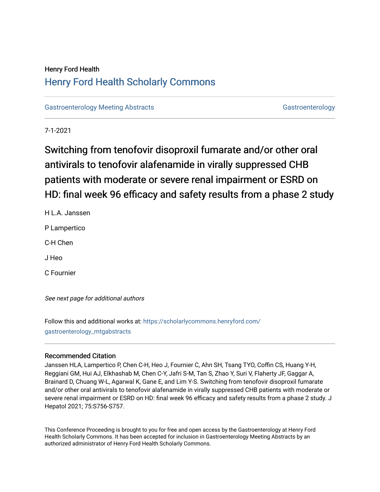# Henry Ford Health [Henry Ford Health Scholarly Commons](https://scholarlycommons.henryford.com/)

[Gastroenterology Meeting Abstracts](https://scholarlycommons.henryford.com/gastroenterology_mtgabstracts) [Gastroenterology](https://scholarlycommons.henryford.com/gastroenterology) Gastroenterology

7-1-2021

# Switching from tenofovir disoproxil fumarate and/or other oral antivirals to tenofovir alafenamide in virally suppressed CHB patients with moderate or severe renal impairment or ESRD on HD: final week 96 efficacy and safety results from a phase 2 study

H L.A. Janssen

P Lampertico

C-H Chen

J Heo

C Fournier

See next page for additional authors

Follow this and additional works at: [https://scholarlycommons.henryford.com/](https://scholarlycommons.henryford.com/gastroenterology_mtgabstracts?utm_source=scholarlycommons.henryford.com%2Fgastroenterology_mtgabstracts%2F122&utm_medium=PDF&utm_campaign=PDFCoverPages) [gastroenterology\\_mtgabstracts](https://scholarlycommons.henryford.com/gastroenterology_mtgabstracts?utm_source=scholarlycommons.henryford.com%2Fgastroenterology_mtgabstracts%2F122&utm_medium=PDF&utm_campaign=PDFCoverPages)

## Recommended Citation

Janssen HLA, Lampertico P, Chen C-H, Heo J, Fournier C, Ahn SH, Tsang TYO, Coffin CS, Huang Y-H, Reggiani GM, Hui AJ, Elkhashab M, Chen C-Y, Jafri S-M, Tan S, Zhao Y, Suri V, Flaherty JF, Gaggar A, Brainard D, Chuang W-L, Agarwal K, Gane E, and Lim Y-S. Switching from tenofovir disoproxil fumarate and/or other oral antivirals to tenofovir alafenamide in virally suppressed CHB patients with moderate or severe renal impairment or ESRD on HD: final week 96 efficacy and safety results from a phase 2 study. J Hepatol 2021; 75:S756-S757.

This Conference Proceeding is brought to you for free and open access by the Gastroenterology at Henry Ford Health Scholarly Commons. It has been accepted for inclusion in Gastroenterology Meeting Abstracts by an authorized administrator of Henry Ford Health Scholarly Commons.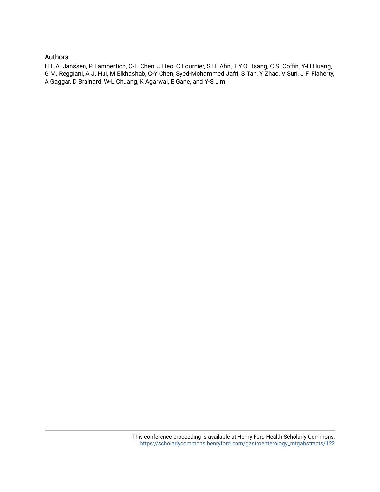## Authors

H L.A. Janssen, P Lampertico, C-H Chen, J Heo, C Fournier, S H. Ahn, T Y.O. Tsang, C S. Coffin, Y-H Huang, G M. Reggiani, A J. Hui, M Elkhashab, C-Y Chen, Syed-Mohammed Jafri, S Tan, Y Zhao, V Suri, J F. Flaherty, A Gaggar, D Brainard, W-L Chuang, K Agarwal, E Gane, and Y-S Lim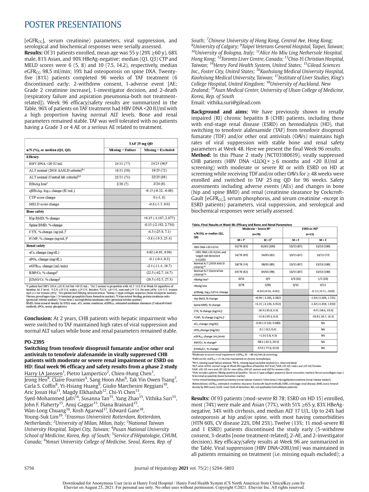## POSTER PRESENTATIONS

 $[eGFR<sub>CG</sub>]$ , serum creatinine) parameters, viral suppression, and serological and biochemical responses were serially assessed. **Results:** Of 31 patients enrolled, mean age was 55 y (29%  $\geq$  60 y), 68% male, 81% Asian, and 90% HBeAg-negative; median (Q1, Q3) CTP and MELD scores were 6 (5, 8) and 10 (7.5, 14.2), respectively, median  $e$ GFR<sub>CG</sub> 98.5 ml/min; 19% had osteoporosis on spine DXA. Twentyfive (81%) patients completed 96 weeks of TAF treatment (6 discontinued early: 2-withdrew consent, 1-adverse event [AE; Grade 2 creatinine increase], 1-investigator decision, and 2-death [respiratory failure and aspiration pneumonia-both not treatmentrelated]). Week 96 efficacy/safety results are summarized in the Table. 96% of patients on TAF treatment had HBV DNA <20 IU/ml with a high proportion having normal ALT levels. Bone and renal parameters remained stable. TAF was well tolerated with no patients having a Grade 3 or 4 AE or a serious AE related to treatment.

|                                                  | TAF 25 mg QD         |                           |  |
|--------------------------------------------------|----------------------|---------------------------|--|
| $n/N$ (%), or median (Q1, Q3)                    | $M$ issing = Failure | $M$ issing = Excluded     |  |
| <b>Efficacy</b>                                  |                      |                           |  |
| HBV DNA <20 IU/mL                                | 24/31(77)            | $24/25(96)^a$             |  |
| ALT normal (2018 AASLD criteria) <sup>b,c</sup>  | 18/31(58)            | 18/25(72)                 |  |
| ALT normal (Central lab criteria) <sup>b,d</sup> | 22/31(71)            | 22/25(88)                 |  |
| HBsAg loss <sup>e</sup>                          | 2/30(7)              | 2/24(8)                   |  |
| qHB sAg, log <sub>10</sub> change (IU/mL)        |                      | $-0.15(-0.32, -0.08)$     |  |
| CTP score change                                 |                      | $0(-1, 0)$                |  |
| MELD score change                                |                      | $-0.6(-1.3, 0.0)$         |  |
| <b>Bone safety</b>                               |                      |                           |  |
| Hip BMD, % change                                |                      | $+0.15(-1.167, 2.677)$    |  |
| Spine BMD, % change                              |                      | $-0.13$ $(-2.192, 2.736)$ |  |
| CTX, % change $(ng/mL)^f$                        |                      | $-6.3$ $(-25.0, 7.1)$     |  |
| P1NP, % change $(ng/mL)^g$                       |                      | $-3.8(-19.3, 25.4)$       |  |
| <b>Renal safety</b>                              |                      |                           |  |
| sCr, change (mg/dL)                              |                      | $0.02$ ( $-0.05, 0.90$ )  |  |
| sPO <sub>4</sub> , change (mg/dL)                |                      | $-0.1$ $(-0.4, 0.3)$      |  |
| eGFR <sub>cG</sub> change (mL/min)               |                      | $-2.4(-11.4, 10.7)$       |  |
| RBP/Cr, % change <sup>h</sup>                    |                      | $-22.5(-42.7, 14.7)$      |  |
| $\beta$ 2MG/Cr, % change <sup>i</sup>            |                      | $-20.5(-52.5, 27.3)$      |  |

PZMU/UCT, 76 CBBIge<br>
<sup>2</sup> Hatert had HB VDNA C-80 UU/mL but <69 IU/mL; <sup>5</sup>ALT normal is proportion with ALT sULN at<br>
<sup>21</sup> patient had HB VDNA 220 IU/ml but <69 IU/mL; <sup>5</sup>ALT normal is proportion with ALT sULN at Week 96 re

**Conclusion:** At 2 years, CHB patients with hepatic impairment who were switched to TAF maintained high rates of viral suppression and normal ALT values while bone and renal parameters remained stable.

#### PO-2395

Switching from tenofovir disoproxil fumarate and/or other oral antivirals to tenofovir alafenamide in virally suppressed CHB patients with moderate or severe renal impairment or ESRD on HD: final week 96 efficacy and safety results from a phase 2 study

Harry LA Janssen<sup>1</sup>, Pietro Lampertico<sup>2</sup>, Chien-Hung Chen<sup>3</sup>, Jeong Heo<sup>4</sup>, Claire Fournier<sup>5</sup>, Sang Hoon Ahn<sup>6</sup>, Tak Yin Owen Tsang<sup>7</sup>, Carla S. Coffin<sup>8</sup>, Yi-Hsiang Huang<sup>9</sup>, Giulio Marchesini Reggiani<sup>10</sup>, Aric Josun Hui<sup>11</sup>, Magdy Elkhashab<sup>12</sup>, Chi-Yi Chen<sup>13</sup>, Syed-Mohammed Jafri<sup>14</sup>, Susanna Tan<sup>15</sup>, Yang Zhao<sup>15</sup>, Vithika Suri<sup>15</sup>, John F. Flaherty<sup>15</sup>, Anuj Gaggar<sup>15</sup>, Diana Brainard<sup>15</sup>,

Wan-Long Chuang<sup>16</sup>, Kosh Agarwal<sup>17</sup>, Edward Gane<sup>18</sup>

Young-Suk Lim<sup>19</sup>. <sup>1</sup>Erasmus Universiteit Rotterdam, Rotterdam, Netherlands; <sup>2</sup>University of Milan, Milan, Italy; <sup>3</sup>National Taiwan University Hospital, Taipei City, Taiwan; <sup>4</sup>Pusan National University School of Medicine, Korea, Rep. of South; <sup>5</sup>Service d'Hépatologie, CHUM, Canada; <sup>6</sup>Yonsei University College of Medicine, Seoul, Korea, Rep. of

South; <sup>7</sup>Chinese University of Hong Kong, Central Ave, Hong Kong;<br><sup>8</sup>University of Calgary: <sup>9</sup>Tainei Veterans Ceneral Hospital Tainei Tai <sup>'</sup>University of Calgary; <sup>9</sup>Taipei Veterans General Hospital, Taipei, Taiwan; <sup>10</sup>University of Bologna, Italy; <sup>11</sup>Alice Ho Miu Ling Nethersole Hospital, Hong Kong; 12Toronto Liver Centre, Canada; 13Chia-Yi Christian Hospital, Taiwan; <sup>14</sup>Henry Ford Health System, United States; <sup>15</sup>Gilead Sciences Inc., Foster City, United States; <sup>16</sup>Kaohsiung Medical University Hospital, Kaohsiung Medical University, Taiwan; <sup>17</sup>Institute of Liver Studies, King's College Hospital, United Kingdom; 18University of Auckland, New Zealand; 19Asan Medical Center, University of Ulsan College of Medicine, Korea, Rep. of South

Email: vithika.suri@gilead.com

Background and aims: We have previously shown in renally impaired (RI) chronic hepatitis B (CHB) patients, including those with end-stage renal disease (ESRD) on hemodialysis (HD), that switching to tenofovir alafenamide (TAF) from tenofovir disoproxil fumarate (TDF) and/or other oral antivirals (OAVs) maintains high rates of viral suppression with stable bone and renal safety parameters at Week 48. Here we present the final Week 96 results. Method: In this Phase 2 study (NCT03180619), virally suppressed CHB patients (HBV DNA <LLOQ  $\times \ge 6$  months and <20 IU/ml at screening) with moderate or severe RI or with ESRD on HD at screening while receiving TDF and/or other OAVs for  $\geq$  48 weeks were enrolled and switched to TAF 25 mg QD for 96 weeks. Safety assessments including adverse events (AEs) and changes in bone (hip and spine BMD) and renal (creatinine clearance by Cockcroft-Gault  $[eGFR<sub>CG</sub>]$ , serum phosphorus, and serum creatinine -except in ESRD patients) parameters, viral suppression, and serological and biochemical responses were serially assessed.

#### Table. Final Results at Week 96: Efficacy and Bone and Renal Parameters

|                                                    | Moderate – Severe Ri°<br>$(n=78)$ |                                | <b>ESRD on HD<sup>°</sup></b><br>$(n=15)$ |                           |  |
|----------------------------------------------------|-----------------------------------|--------------------------------|-------------------------------------------|---------------------------|--|
| n/N (%), or median (Q1,<br>Q3)                     |                                   |                                |                                           |                           |  |
|                                                    | $M = Fc$                          | $M = Ed$                       | $M = F$                                   | $M = E$                   |  |
| HBV DNA <20 IU/mL                                  | 65/78 (83)                        | 65/65 (100)                    | 13/15 (87)                                | 13/13 (100)               |  |
| HBV DNA <20 IU/mL and<br>target not detected<br>(  | 54/78 (69)                        | 54/65 (83)                     | 10/15(67)                                 | 10/13(77)                 |  |
| Normal ALT (2018 AASLD<br>criteria) <sup>e,f</sup> | 58/78 (74)                        | 58/65 (89)                     | 13/15 (87)                                | 13/13 (100)               |  |
| Normal ALT (Central lab<br>criteria) e.g           | 64/78 (82)                        | 64/65 (98)                     | 13/15(87)                                 | 13/13 (100)               |  |
| HBeAg lossh                                        | 0/13                              | 0/9                            | 1/3(33)                                   | 1/3(33)                   |  |
| <b>HBsAgloss</b>                                   | 0/78                              | 0/66                           | 0/15                                      | 0/13                      |  |
| qHBsAg, log10 IU/mL change                         |                                   | $-0.10$ $(-0.16, -0.01)$       |                                           | $-0.11(-0.17, -0.02)$     |  |
| Hip BMD, % change                                  |                                   | $+0.94$ ( $-1.285$ , 2.282)    |                                           | $-1.54$ $(-3.620, 1.721)$ |  |
| Spine BMD, % change                                |                                   | $+1.21$ ( $-1.230$ , $3.452$ ) |                                           | $-1.32$ $(-3.459, 1.910)$ |  |
| CTX, % change (ng/mL) <sup>1</sup>                 |                                   | $-18.9$ $(-35.0, 0.0)$         |                                           | $-9.9$ $(-38.6, 23.9)$    |  |
| P1NP, % change (ng/mL)                             |                                   | $-13.8$ ( $-29.3$ , $8.0$ )    |                                           | $-20.8$ ( $-28.7, 16.5$ ) |  |
| sCr, change (mg/dL)                                |                                   | $-0.04$ $(-0.120, 0.080)$      |                                           | <b>NA</b>                 |  |
| sPO <sub>4</sub> .change (mg/dL)                   |                                   | $0.1(-0.2, 0.4)$               |                                           | <b>NA</b>                 |  |
| eGFRcg. change (mL/min)                            |                                   | $+1.0$ (-2.8, 4.5)             |                                           | <b>NA</b>                 |  |
| RBP/Cr, % change <sup>k</sup>                      |                                   | $-38.5$ $(-62.5, 29.5)$        |                                           | <b>NA</b>                 |  |
| B2MG/Cr, % change <sup>1</sup>                     |                                   | $-57.0$ $(-77.0, 62.0)$        |                                           | <b>NA</b>                 |  |

<sup>a</sup>Moderate to severe renal impairment: eGFR<sub>CG</sub> 15 - <60 mL/min at screening;

<sup>b</sup>ESRD on HD: eGFR<sub>cG</sub> < 15 mL/min maintained on chronic hemodialysis

<sup>9ESRD</sup> on HD: eGFR<sub>cs</sub> < 15 mL/min maintained on chronic hemodialysis<br>  $^{6}$ M-F, missing equal failure analysis; <sup>4</sup>/M-E, missing equal excluded analysis (i.e. observed data)<br>
"ALT value within normal range at Week 96 re

\*Urine retinol binding protein/creatinine (renal tubular marker); 'Urine beta-2 microglobulin/creatinine (renal tubular marker) Abbreviations: eGFRcs, estimated creatinine clearance (Cockcroft-Gault method); ESRD, end-stage renal disease; BMD, bone mineral<br>density by DXA scan); LLOD, lower limit of detection; NA, not applicable (hemodialysis patien

Results: Of 93 patients (mod-severe RI 78; ESRD on HD 15) enrolled, most (74%) were male and Asian (77%), with  $51\% \ge 65$  y, 83% HBeAgnegative, 34% with cirrhosis, and median ALT 17 U/L. Up to 24% had osteoporosis at hip and/or spine, with most having comorbidities (HTN 60%, CV disease 22%, DM 25%). Twelve (13%; 11 mod-severe RI and 1 ESRD) patients discontinued the study early (5-withdrew consent, 3-deaths [none treatment-related], 2-AE, and 2-investigator decision). Key efficacy/safety results at Week 96 are summarized in the Table. Viral suppression (HBV DNA<20IU/ml) was maintained in all patients remaining on treatment (i.e. missing equals excluded); a